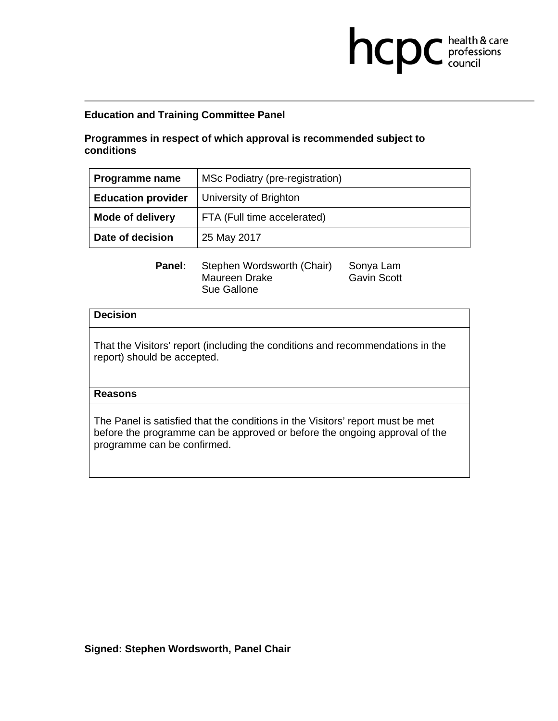## **Programmes in respect of which approval is recommended subject to conditions**

| Programme name            | MSc Podiatry (pre-registration) |
|---------------------------|---------------------------------|
| <b>Education provider</b> | University of Brighton          |
| <b>Mode of delivery</b>   | FTA (Full time accelerated)     |
| Date of decision          | 25 May 2017                     |

**health & care** 

Panel: Stephen Wordsworth (Chair) Sonya Lam Maureen Drake Gavin Scott Sue Gallone

### **Decision**

That the Visitors' report (including the conditions and recommendations in the report) should be accepted.

### **Reasons**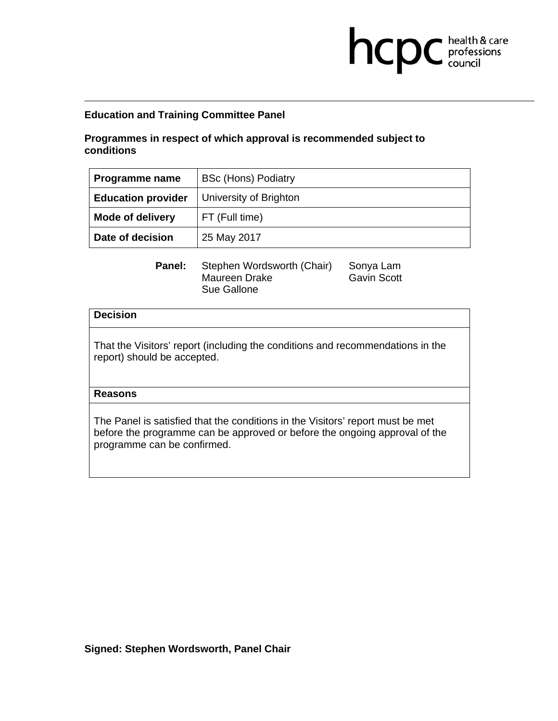### **Programmes in respect of which approval is recommended subject to conditions**

| Programme name            | <b>BSc (Hons) Podiatry</b> |
|---------------------------|----------------------------|
| <b>Education provider</b> | University of Brighton     |
| <b>Mode of delivery</b>   | FT (Full time)             |
| Date of decision          | 25 May 2017                |

**health & care** 

Panel: Stephen Wordsworth (Chair) Sonya Lam Maureen Drake Gavin Scott Sue Gallone

### **Decision**

That the Visitors' report (including the conditions and recommendations in the report) should be accepted.

### **Reasons**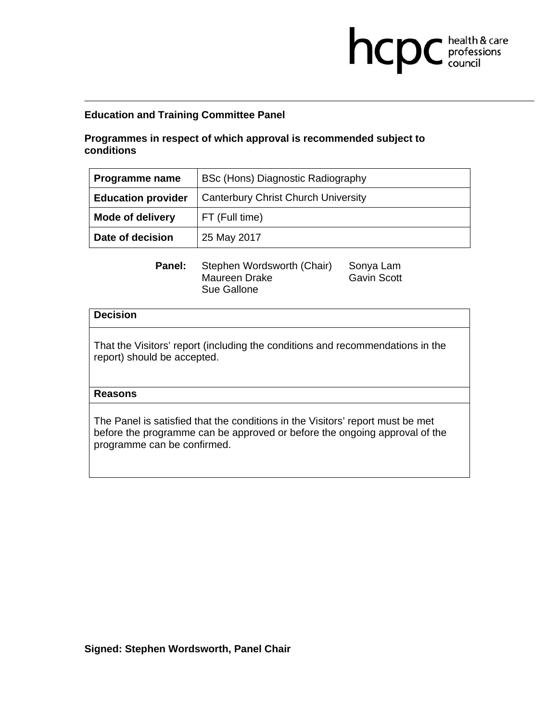## **Programmes in respect of which approval is recommended subject to conditions**

| Programme name            | BSc (Hons) Diagnostic Radiography          |
|---------------------------|--------------------------------------------|
| <b>Education provider</b> | <b>Canterbury Christ Church University</b> |
| <b>Mode of delivery</b>   | FT (Full time)                             |
| Date of decision          | 25 May 2017                                |

**health & care** 

Panel: Stephen Wordsworth (Chair) Sonya Lam Maureen Drake Gavin Scott Sue Gallone

### **Decision**

That the Visitors' report (including the conditions and recommendations in the report) should be accepted.

### **Reasons**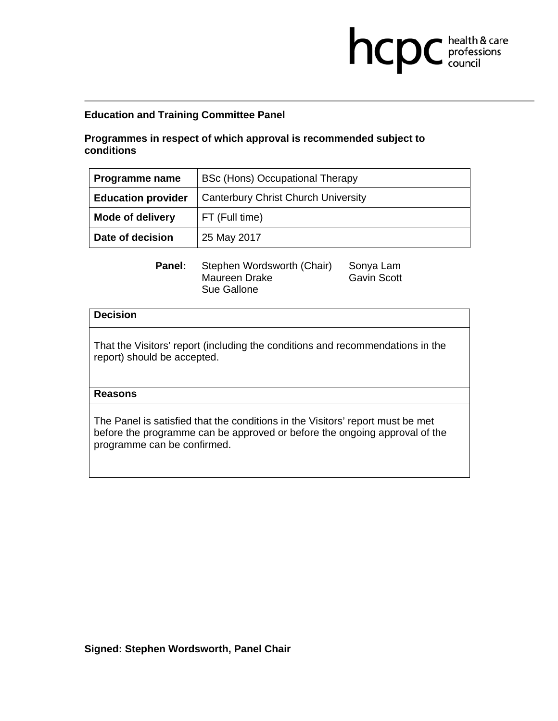## **Programmes in respect of which approval is recommended subject to conditions**

| Programme name            | BSc (Hons) Occupational Therapy            |
|---------------------------|--------------------------------------------|
| <b>Education provider</b> | <b>Canterbury Christ Church University</b> |
| <b>Mode of delivery</b>   | FT (Full time)                             |
| Date of decision          | 25 May 2017                                |

**health & care** 

Panel: Stephen Wordsworth (Chair) Sonya Lam Maureen Drake Gavin Scott Sue Gallone

### **Decision**

That the Visitors' report (including the conditions and recommendations in the report) should be accepted.

### **Reasons**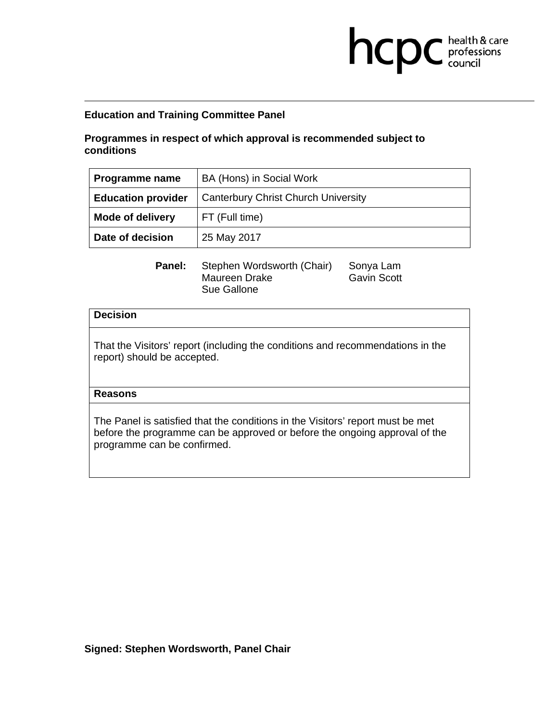## **Programmes in respect of which approval is recommended subject to conditions**

| Programme name            | BA (Hons) in Social Work                   |
|---------------------------|--------------------------------------------|
| <b>Education provider</b> | <b>Canterbury Christ Church University</b> |
| <b>Mode of delivery</b>   | FT (Full time)                             |
| Date of decision          | 25 May 2017                                |

**health & care** 

Panel: Stephen Wordsworth (Chair) Sonya Lam Maureen Drake Gavin Scott Sue Gallone

### **Decision**

That the Visitors' report (including the conditions and recommendations in the report) should be accepted.

### **Reasons**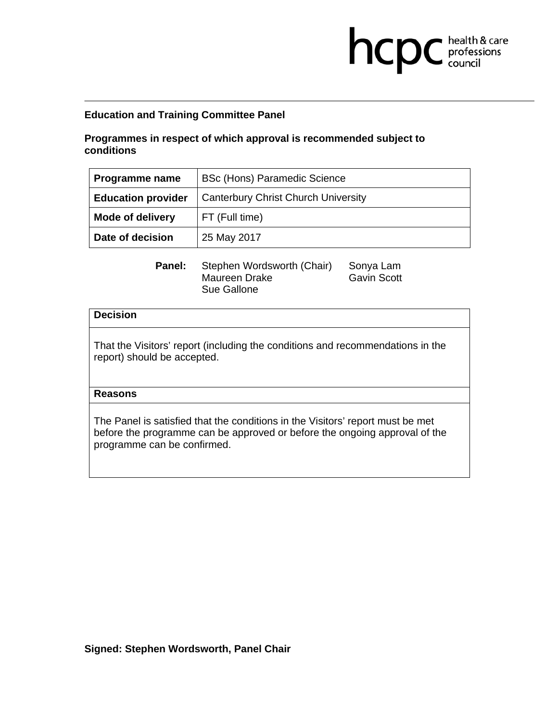## **Programmes in respect of which approval is recommended subject to conditions**

| Programme name            | <b>BSc (Hons) Paramedic Science</b>        |
|---------------------------|--------------------------------------------|
| <b>Education provider</b> | <b>Canterbury Christ Church University</b> |
| <b>Mode of delivery</b>   | FT (Full time)                             |
| Date of decision          | 25 May 2017                                |

**health & care** 

Panel: Stephen Wordsworth (Chair) Sonya Lam Maureen Drake Gavin Scott Sue Gallone

### **Decision**

That the Visitors' report (including the conditions and recommendations in the report) should be accepted.

### **Reasons**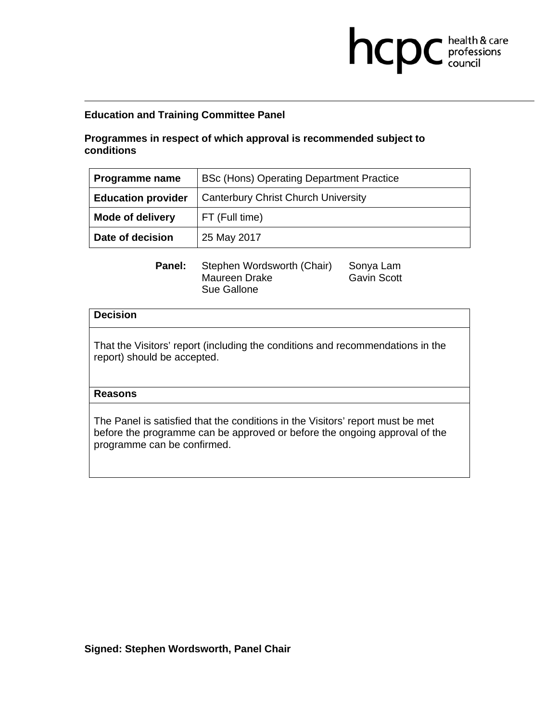## **Programmes in respect of which approval is recommended subject to conditions**

| Programme name            | BSc (Hons) Operating Department Practice   |
|---------------------------|--------------------------------------------|
| <b>Education provider</b> | <b>Canterbury Christ Church University</b> |
| <b>Mode of delivery</b>   | FT (Full time)                             |
| Date of decision          | 25 May 2017                                |

**health & care** 

Panel: Stephen Wordsworth (Chair) Sonya Lam Maureen Drake Gavin Scott Sue Gallone

### **Decision**

That the Visitors' report (including the conditions and recommendations in the report) should be accepted.

### **Reasons**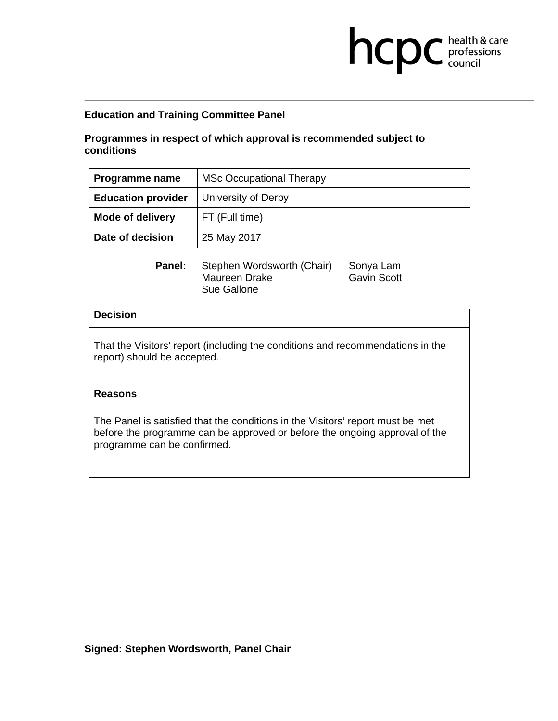## **Programmes in respect of which approval is recommended subject to conditions**

| Programme name            | <b>MSc Occupational Therapy</b> |
|---------------------------|---------------------------------|
| <b>Education provider</b> | <b>University of Derby</b>      |
| <b>Mode of delivery</b>   | FT (Full time)                  |
| Date of decision          | 25 May 2017                     |

**health & care** 

Panel: Stephen Wordsworth (Chair) Sonya Lam Maureen Drake Gavin Scott Sue Gallone

### **Decision**

That the Visitors' report (including the conditions and recommendations in the report) should be accepted.

### **Reasons**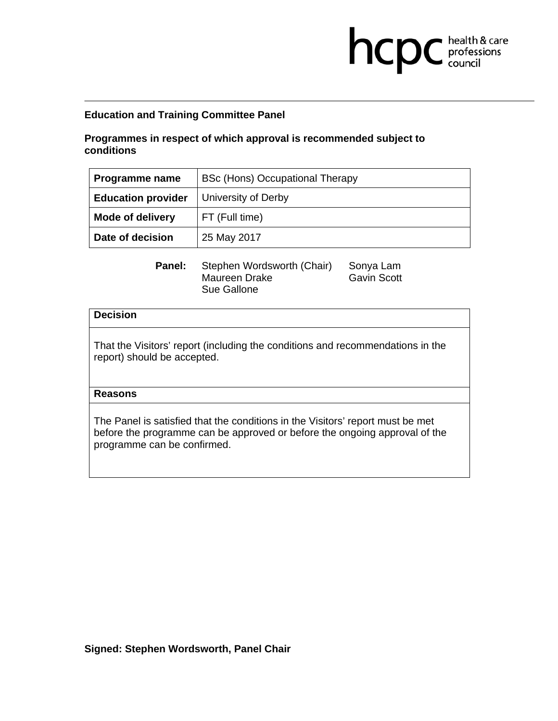## **Programmes in respect of which approval is recommended subject to conditions**

| Programme name            | <b>BSc (Hons) Occupational Therapy</b> |
|---------------------------|----------------------------------------|
| <b>Education provider</b> | <b>University of Derby</b>             |
| <b>Mode of delivery</b>   | FT (Full time)                         |
| Date of decision          | 25 May 2017                            |

**health & care** 

Panel: Stephen Wordsworth (Chair) Sonya Lam Maureen Drake Gavin Scott Sue Gallone

### **Decision**

That the Visitors' report (including the conditions and recommendations in the report) should be accepted.

### **Reasons**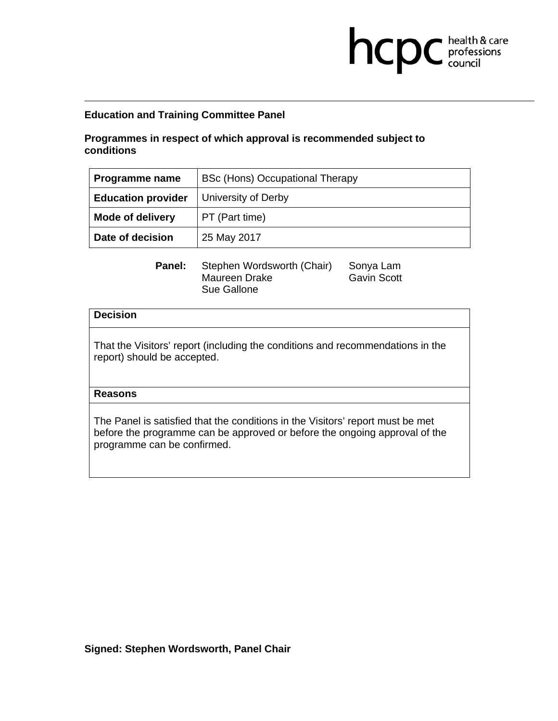## **Programmes in respect of which approval is recommended subject to conditions**

| Programme name            | BSc (Hons) Occupational Therapy |
|---------------------------|---------------------------------|
| <b>Education provider</b> | University of Derby             |
| <b>Mode of delivery</b>   | PT (Part time)                  |
| Date of decision          | 25 May 2017                     |

**health & care** 

Panel: Stephen Wordsworth (Chair) Sonya Lam Maureen Drake Gavin Scott Sue Gallone

### **Decision**

That the Visitors' report (including the conditions and recommendations in the report) should be accepted.

### **Reasons**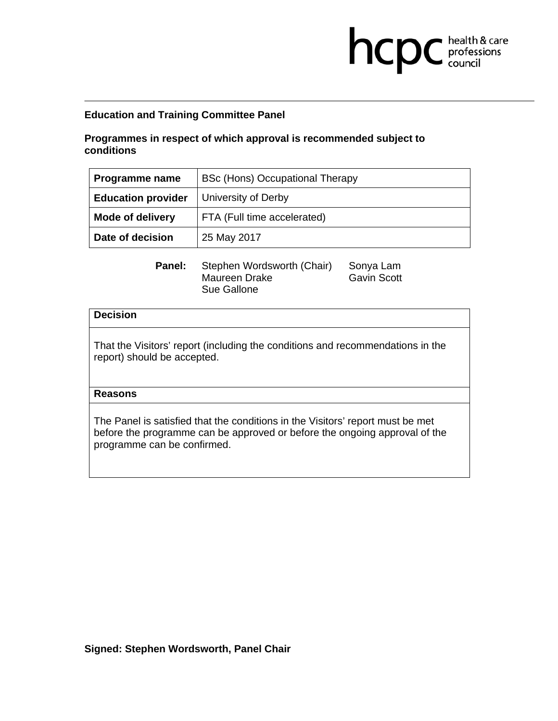## **Programmes in respect of which approval is recommended subject to conditions**

| Programme name            | BSc (Hons) Occupational Therapy |
|---------------------------|---------------------------------|
| <b>Education provider</b> | University of Derby             |
| <b>Mode of delivery</b>   | FTA (Full time accelerated)     |
| Date of decision          | 25 May 2017                     |

**health & care** 

Panel: Stephen Wordsworth (Chair) Sonya Lam Maureen Drake Gavin Scott Sue Gallone

### **Decision**

That the Visitors' report (including the conditions and recommendations in the report) should be accepted.

### **Reasons**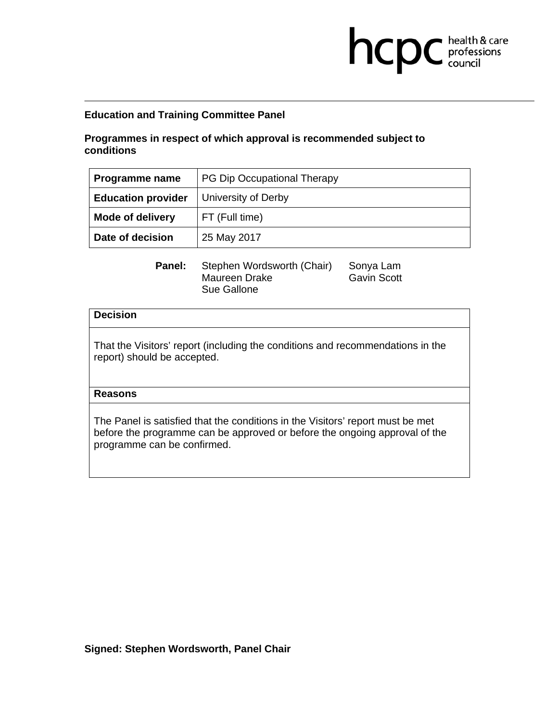## **Programmes in respect of which approval is recommended subject to conditions**

| Programme name            | PG Dip Occupational Therapy |
|---------------------------|-----------------------------|
| <b>Education provider</b> | <b>University of Derby</b>  |
| <b>Mode of delivery</b>   | FT (Full time)              |
| Date of decision          | 25 May 2017                 |

**health & care** 

Panel: Stephen Wordsworth (Chair) Sonya Lam Maureen Drake Gavin Scott Sue Gallone

### **Decision**

That the Visitors' report (including the conditions and recommendations in the report) should be accepted.

### **Reasons**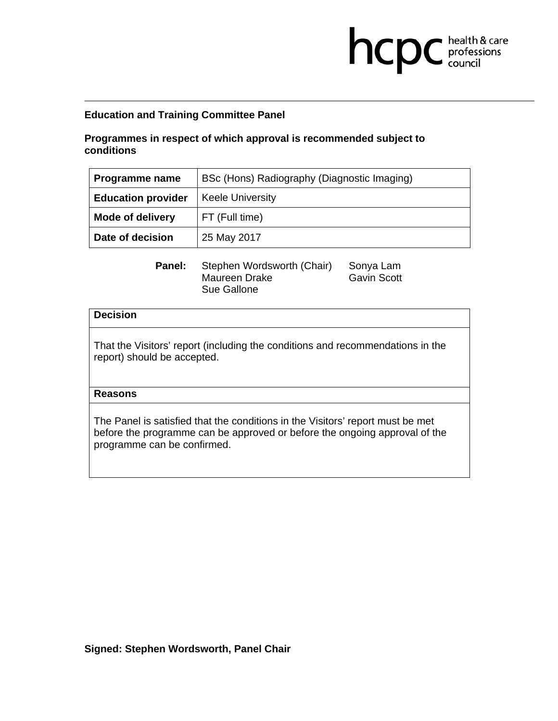## **Programmes in respect of which approval is recommended subject to conditions**

| Programme name            | BSc (Hons) Radiography (Diagnostic Imaging) |
|---------------------------|---------------------------------------------|
| <b>Education provider</b> | <b>Keele University</b>                     |
| <b>Mode of delivery</b>   | FT (Full time)                              |
| Date of decision          | 25 May 2017                                 |

**health & care** 

Panel: Stephen Wordsworth (Chair) Sonya Lam Maureen Drake Gavin Scott Sue Gallone

### **Decision**

That the Visitors' report (including the conditions and recommendations in the report) should be accepted.

### **Reasons**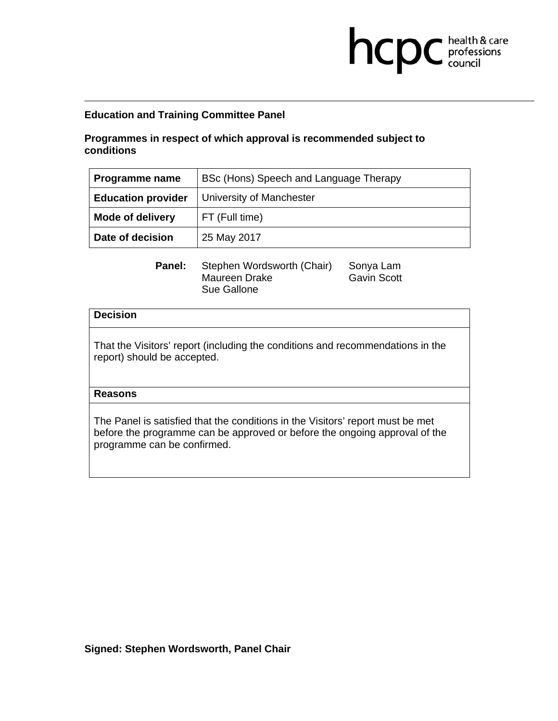## **Programmes in respect of which approval is recommended subject to conditions**

| Programme name            | BSc (Hons) Speech and Language Therapy |
|---------------------------|----------------------------------------|
| <b>Education provider</b> | University of Manchester               |
| <b>Mode of delivery</b>   | FT (Full time)                         |
| Date of decision          | 25 May 2017                            |

**health & care** 

Panel: Stephen Wordsworth (Chair) Sonya Lam Maureen Drake Gavin Scott Sue Gallone

### **Decision**

That the Visitors' report (including the conditions and recommendations in the report) should be accepted.

### **Reasons**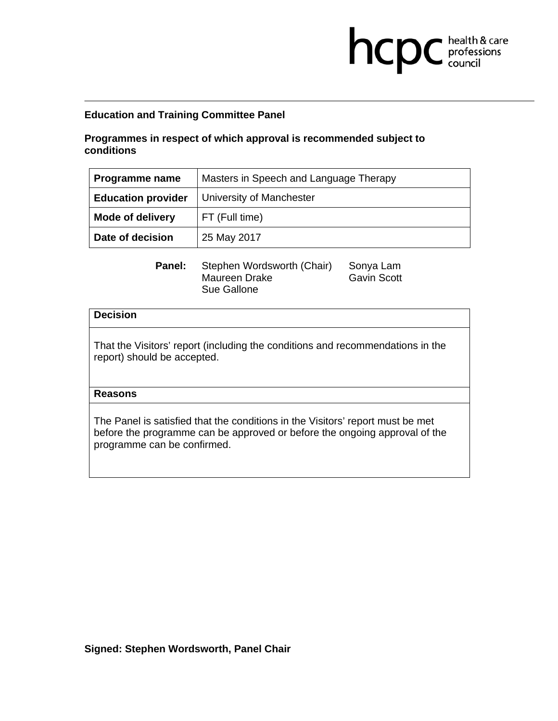## **Programmes in respect of which approval is recommended subject to conditions**

| Programme name            | Masters in Speech and Language Therapy |
|---------------------------|----------------------------------------|
| <b>Education provider</b> | University of Manchester               |
| <b>Mode of delivery</b>   | FT (Full time)                         |
| Date of decision          | 25 May 2017                            |

**health & care** 

Panel: Stephen Wordsworth (Chair) Sonya Lam Maureen Drake Gavin Scott Sue Gallone

### **Decision**

That the Visitors' report (including the conditions and recommendations in the report) should be accepted.

### **Reasons**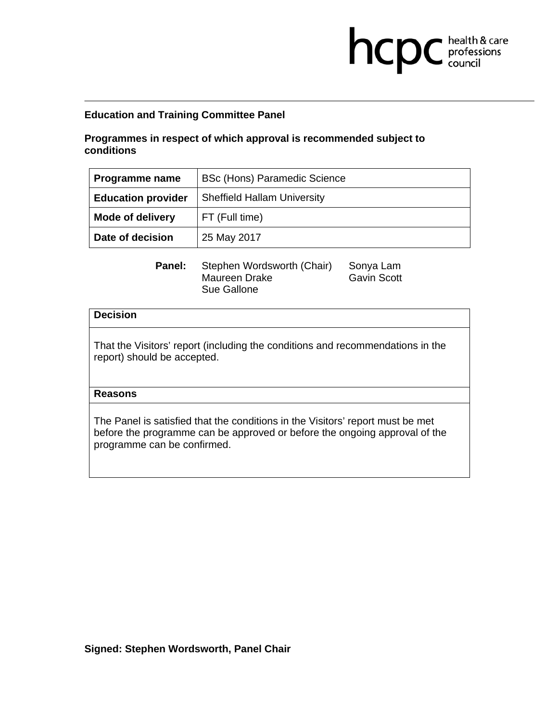## **Programmes in respect of which approval is recommended subject to conditions**

| Programme name            | <b>BSc (Hons) Paramedic Science</b> |
|---------------------------|-------------------------------------|
| <b>Education provider</b> | <b>Sheffield Hallam University</b>  |
| <b>Mode of delivery</b>   | FT (Full time)                      |
| Date of decision          | 25 May 2017                         |

**health & care** 

Panel: Stephen Wordsworth (Chair) Sonya Lam Maureen Drake Gavin Scott Sue Gallone

### **Decision**

That the Visitors' report (including the conditions and recommendations in the report) should be accepted.

### **Reasons**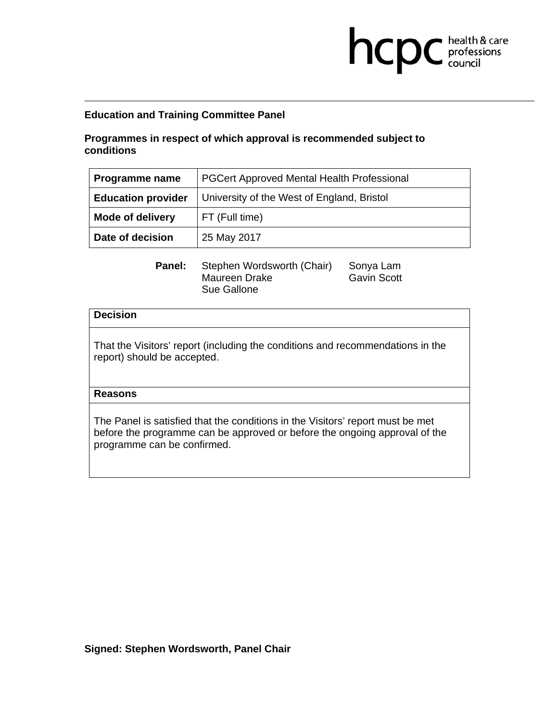## **Programmes in respect of which approval is recommended subject to conditions**

| <b>Programme name</b>     | <b>PGCert Approved Mental Health Professional</b> |
|---------------------------|---------------------------------------------------|
| <b>Education provider</b> | University of the West of England, Bristol        |
| <b>Mode of delivery</b>   | FT (Full time)                                    |
| Date of decision          | 25 May 2017                                       |

**health & care** 

Panel: Stephen Wordsworth (Chair) Sonya Lam Maureen Drake Gavin Scott Sue Gallone

### **Decision**

That the Visitors' report (including the conditions and recommendations in the report) should be accepted.

### **Reasons**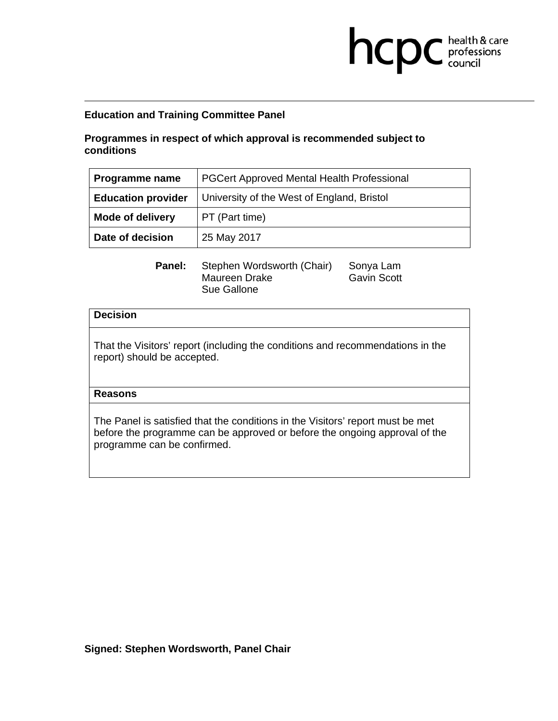## **Programmes in respect of which approval is recommended subject to conditions**

| Programme name            | PGCert Approved Mental Health Professional |
|---------------------------|--------------------------------------------|
| <b>Education provider</b> | University of the West of England, Bristol |
| <b>Mode of delivery</b>   | PT (Part time)                             |
| Date of decision          | 25 May 2017                                |

**health & care** 

Panel: Stephen Wordsworth (Chair) Sonya Lam Maureen Drake Gavin Scott Sue Gallone

### **Decision**

That the Visitors' report (including the conditions and recommendations in the report) should be accepted.

### **Reasons**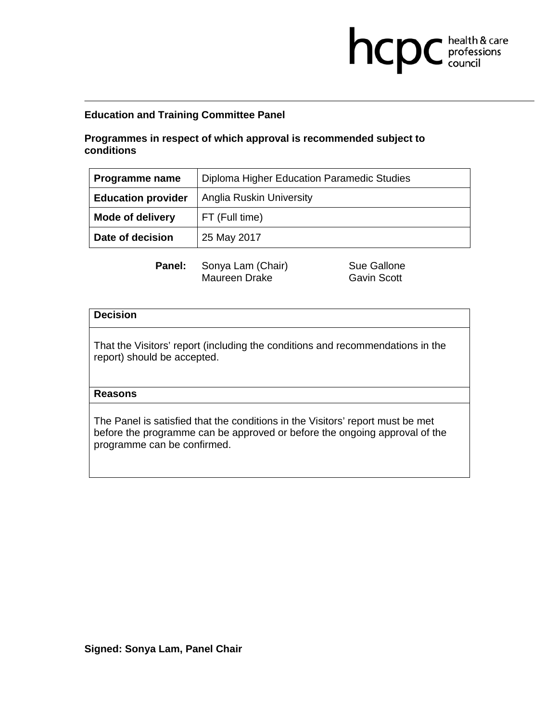# **Programmes in respect of which approval is recommended subject to conditions**

| Programme name            | Diploma Higher Education Paramedic Studies |
|---------------------------|--------------------------------------------|
| <b>Education provider</b> | <b>Anglia Ruskin University</b>            |
| <b>Mode of delivery</b>   | FT (Full time)                             |
| Date of decision          | 25 May 2017                                |

**Panel:** Sonya Lam (Chair) Sue Gallone Maureen Drake Gavin Scott

**health & care** 

### **Decision**

That the Visitors' report (including the conditions and recommendations in the report) should be accepted.

### **Reasons**